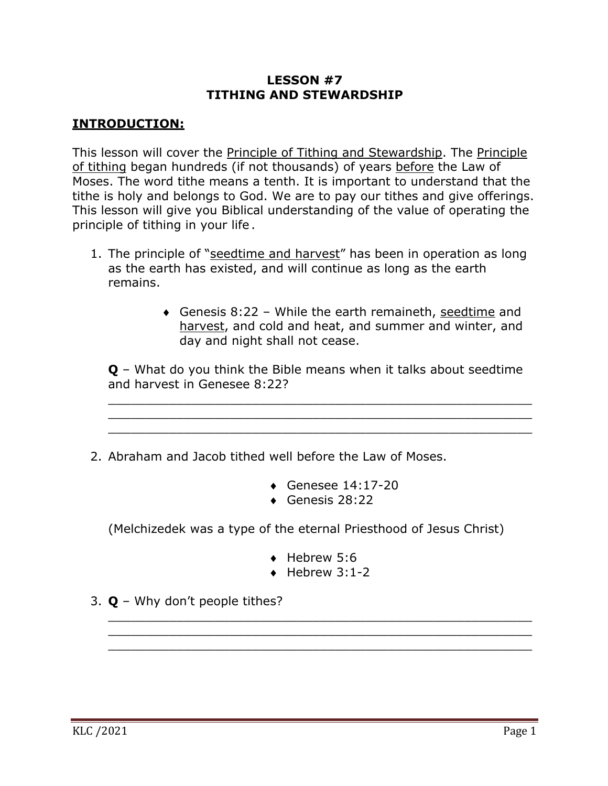## **LESSON #7 TITHING AND STEWARDSHIP**

## **INTRODUCTION:**

This lesson will cover the Principle of Tithing and Stewardship. The Principle of tithing began hundreds (if not thousands) of years before the Law of Moses. The word tithe means a tenth. It is important to understand that the tithe is holy and belongs to God. We are to pay our tithes and give offerings. This lesson will give you Biblical understanding of the value of operating the principle of tithing in your life .

- 1. The principle of "seedtime and harvest" has been in operation as long as the earth has existed, and will continue as long as the earth remains.
	- Genesis  $8:22$  While the earth remaineth, seedtime and harvest, and cold and heat, and summer and winter, and day and night shall not cease.

**Q** – What do you think the Bible means when it talks about seedtime and harvest in Genesee 8:22?

\_\_\_\_\_\_\_\_\_\_\_\_\_\_\_\_\_\_\_\_\_\_\_\_\_\_\_\_\_\_\_\_\_\_\_\_\_\_\_\_\_\_\_\_\_\_\_\_\_\_\_\_\_\_\_\_ \_\_\_\_\_\_\_\_\_\_\_\_\_\_\_\_\_\_\_\_\_\_\_\_\_\_\_\_\_\_\_\_\_\_\_\_\_\_\_\_\_\_\_\_\_\_\_\_\_\_\_\_\_\_\_\_ \_\_\_\_\_\_\_\_\_\_\_\_\_\_\_\_\_\_\_\_\_\_\_\_\_\_\_\_\_\_\_\_\_\_\_\_\_\_\_\_\_\_\_\_\_\_\_\_\_\_\_\_\_\_\_\_

- 2. Abraham and Jacob tithed well before the Law of Moses.
	- $\triangleleft$  Genesee 14:17-20
	- $\bullet$  Genesis 28:22

(Melchizedek was a type of the eternal Priesthood of Jesus Christ)

- $\triangleleft$  Hebrew 5:6
- $\leftrightarrow$  Hebrew 3:1-2

\_\_\_\_\_\_\_\_\_\_\_\_\_\_\_\_\_\_\_\_\_\_\_\_\_\_\_\_\_\_\_\_\_\_\_\_\_\_\_\_\_\_\_\_\_\_\_\_\_\_\_\_\_\_\_\_

\_\_\_\_\_\_\_\_\_\_\_\_\_\_\_\_\_\_\_\_\_\_\_\_\_\_\_\_\_\_\_\_\_\_\_\_\_\_\_\_\_\_\_\_\_\_\_\_\_\_\_\_\_\_\_\_

3. **Q** – Why don't people tithes?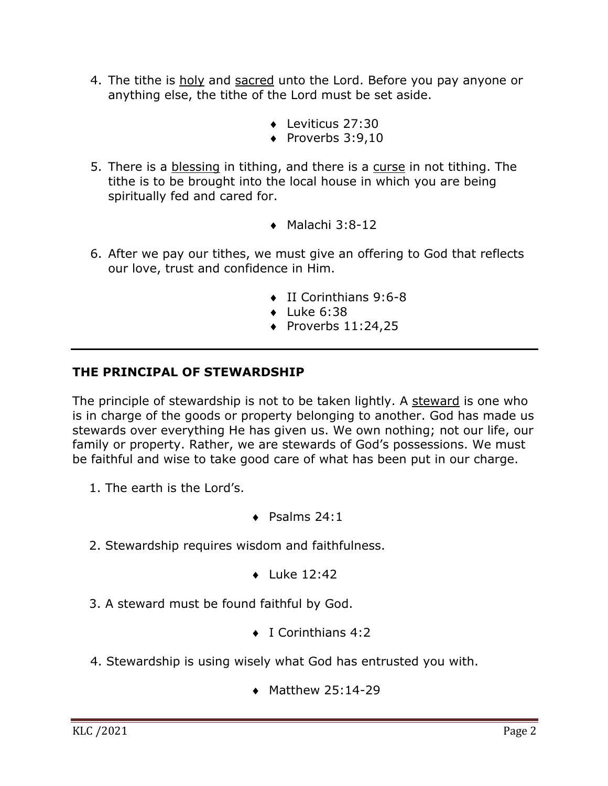- 4. The tithe is holy and sacred unto the Lord. Before you pay anyone or anything else, the tithe of the Lord must be set aside.
	- $\bullet$  Leviticus 27:30
	- $\bullet$  Proverbs 3:9.10
- 5. There is a blessing in tithing, and there is a curse in not tithing. The tithe is to be brought into the local house in which you are being spiritually fed and cared for.
	- $\bullet$  Malachi 3:8-12
- 6. After we pay our tithes, we must give an offering to God that reflects our love, trust and confidence in Him.
	- $\bullet$  II Corinthians 9:6-8
	- $\bullet$  Luke 6:38
	- $\bullet$  Proverbs 11:24,25

## **THE PRINCIPAL OF STEWARDSHIP**

The principle of stewardship is not to be taken lightly. A steward is one who is in charge of the goods or property belonging to another. God has made us stewards over everything He has given us. We own nothing; not our life, our family or property. Rather, we are stewards of God's possessions. We must be faithful and wise to take good care of what has been put in our charge.

- 1. The earth is the Lord's.
- $\bullet$  Psalms 24:1
- 2. Stewardship requires wisdom and faithfulness.
	- $\bullet$  Luke 12:42
- 3. A steward must be found faithful by God.
	- $\bullet$  I Corinthians 4:2
- 4. Stewardship is using wisely what God has entrusted you with.
	- $\bullet$  Matthew 25:14-29